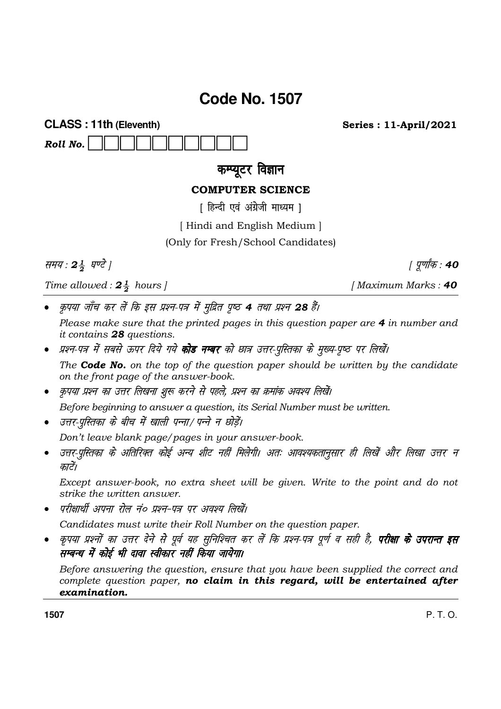## **Code No. 1507**

**CLASS: 11th (Eleventh)** Roll No.

**Series: 11-April/2021** 

कम्प्यूटर विज्ञान

## **COMPUTER SCIENCE**

[ हिन्दी एवं अंग्रेजी माध्यम ]

[Hindi and English Medium]

(Only for Fresh/School Candidates)

समय: 24 घण्टे |

Time allowed:  $2\frac{1}{2}$  hours |

| पूर्णांक : **40** 

- [Maximum Marks: 40
- कृपया जाँच कर लें कि इस प्रश्न-पत्र में मुद्रित पुष्ठ 4 तथा प्रश्न 28 हैं। Please make sure that the printed pages in this question paper are 4 in number and
- *it contains* 28 questions. प्रश्न-पत्र में सबसे ऊपर दिये गये **कोड नम्बर** को छात्र उत्तर-पुस्तिका के मुख्य-पृष्ठ पर लिखें।

The **Code No.** on the top of the question paper should be written by the candidate on the front page of the answer-book.

कृपया प्रश्न का उत्तर लिखना शुरू करने से पहले, प्रश्न का क्रमांक अवश्य लिखें।

Before beginning to answer a question, its Serial Number must be written.

• उत्तर-परितका के बीच में खाली पन्ना/ पन्ने न छोडें।

Don't leave blank page/pages in your answer-book.

उत्तर-पुस्तिका के अतिरिक्त कोई अन्य शीट नहीं मिलेगी। अतः आवश्यकतानुसार ही लिखें और लिखा उत्तर न  $\bullet$ कारें।

Except answer-book, no extra sheet will be given. Write to the point and do not strike the *uritten* answer.

परीक्षार्थी अपना रोल नं० प्रश्न-पत्र पर अवश्य लिखें।

Candidates must write their Roll Number on the question paper.

कृपया प्रश्नों का उत्तर देने से पूर्व यह सुनिश्चित कर लें कि प्रश्न-पत्र पूर्ण व सही है, **परीक्षा के उपरान्त इस** सम्बन्ध में कोई भी दावा स्वीकार नहीं किया जायेगा।

Before answering the question, ensure that you have been supplied the correct and complete question paper, no claim in this regard, will be entertained after examination.

1507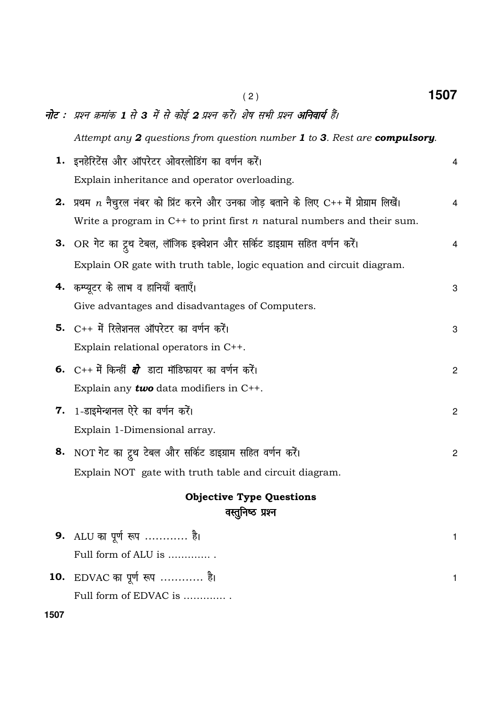|      | (2)                                                                                              | 1507           |
|------|--------------------------------------------------------------------------------------------------|----------------|
|      | <b>नोट</b> : प्रश्न क्रमांक 1 से 3 में से कोई 2 प्रश्न करें। शेष सभी प्रश्न <b>अनिवार्य</b> हैं। |                |
|      | Attempt any 2 questions from question number 1 to 3. Rest are compulsory.                        |                |
|      | 1. इनहेरिटेंस और ऑपरेटर ओवरलोडिंग का वर्णन करें।                                                 | $\overline{4}$ |
|      | Explain inheritance and operator overloading.                                                    |                |
|      | 2. प्रथम $n$ नैचुरल नंबर को प्रिंट करने और उनका जोड़ बताने के लिए C++ में प्रोग्राम लिखें।       | $\overline{4}$ |
|      | Write a program in $C^{++}$ to print first <i>n</i> natural numbers and their sum.               |                |
|      | 3. OR गेट का ट्र्थ टेबल, लॉजिक इक्वेशन और सर्किट डाइग्राम सहित वर्णन करें।                       | 4              |
|      | Explain OR gate with truth table, logic equation and circuit diagram.                            |                |
|      | 4. कम्प्यूटर के लाभ व हानियाँ बताएँ।                                                             | 3              |
|      | Give advantages and disadvantages of Computers.                                                  |                |
|      | <b>5.</b> C++ में रिलेशनल ऑपरेटर का वर्णन करें।                                                  | 3              |
|      | Explain relational operators in C++.                                                             |                |
|      | 6. C++ में किन्हीं <i>दो</i> डाटा मॉडिफायर का वर्णन करें।                                        | $\mathbf{2}$   |
|      | Explain any <b>two</b> data modifiers in $C++$ .                                                 |                |
| 7.   | 1-डाइमेन्शनल ऐरे का वर्णन करें।                                                                  | $\overline{c}$ |
|      | Explain 1-Dimensional array.                                                                     |                |
|      | 8. NOT गेट का ट्रूथ टेबल और सर्किट डाइग्राम सहित वर्णन करें।                                     | $\overline{c}$ |
|      | Explain NOT gate with truth table and circuit diagram.                                           |                |
|      | <b>Objective Type Questions</b>                                                                  |                |
|      | वस्तुनिष्ठ प्रश्न                                                                                |                |
|      | 9. ALU का पूर्ण रूप  है।                                                                         | 1              |
|      | Full form of ALU is                                                                              |                |
| 10.  | EDVAC का पूर्ण रूप  है।                                                                          | 1              |
|      | Full form of EDVAC is                                                                            |                |
| 1507 |                                                                                                  |                |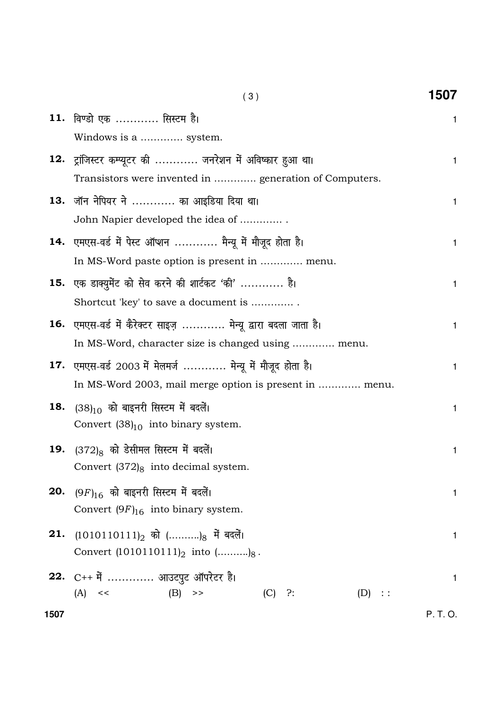|      | (3)                                                           | 1507         |
|------|---------------------------------------------------------------|--------------|
|      | 11. विण्डो एक  सिस्टम है।                                     | 1            |
|      | Windows is a  system.                                         |              |
|      | 12. ट्रांजिस्टर कम्प्यूटर की  जनरेशन में अविष्कार हुआ था।     | 1            |
|      | Transistors were invented in  generation of Computers.        |              |
| 13.  | जॉन नेपियर ने  का आइडिया दिया था।                             | 1            |
|      | John Napier developed the idea of                             |              |
|      | 14. एमएस-वर्ड में पेस्ट ऑप्शन  मैन्यू में मौजूद होता है।      | 1            |
|      | In MS-Word paste option is present in  menu.                  |              |
|      | 15. एक डाक्युमेंट को सेव करने की शार्टकट 'की'  है।            | 1            |
|      | Shortcut 'key' to save a document is                          |              |
|      | 16. एमएस-वर्ड में कैरेक्टर साइज़  मेन्यू द्वारा बदला जाता है। | 1            |
|      | In MS-Word, character size is changed using  menu.            |              |
|      | 17. एमएस-वर्ड 2003 में मेलमर्ज  मेन्यू में मौजूद होता है।     | 1            |
|      | In MS-Word 2003, mail merge option is present in  menu.       |              |
|      | <b>18.</b> $(38)_{10}$ को बाइनरी सिस्टम में बदलें।            | 1            |
|      | Convert $(38)_{10}$ into binary system.                       |              |
| 19.  | (372) <sub>8</sub> को डेसीमल सिस्टम में बदलें।                | 1            |
|      | Convert $(372)_{8}$ into decimal system.                      |              |
|      | <b>20.</b> $(9F)_{16}$ को बाइनरी सिस्टम में बदलें।            | 1            |
|      | Convert $(9F)_{16}$ into binary system.                       |              |
|      | 21. (1010110111) <sub>2</sub> को () <sub>8</sub> में बदलें।   | $\mathbf{1}$ |
|      | Convert $(1010110111)_2$ into $(\dots \dots \dots)_8$ .       |              |
|      | 22. C++ में  आउटपुट ऑपरेटर है।                                | 1            |
|      | $(B)$ >><br>$(A) \leq$<br>$(C)$ ?:<br>(D) ::                  |              |
| 1507 |                                                               | P. T. O.     |